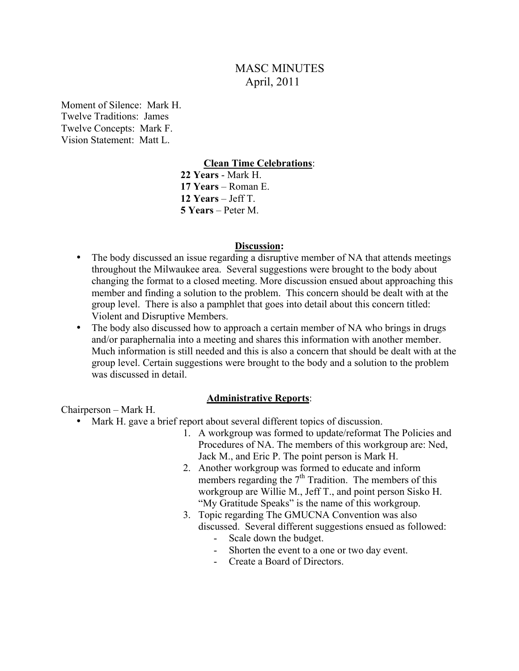# MASC MINUTES April, 2011

Moment of Silence: Mark H. Twelve Traditions: James Twelve Concepts: Mark F. Vision Statement: Matt L.

#### **Clean Time Celebrations**:

 **22 Years** - Mark H. **17 Years** – Roman E. **12 Years** – Jeff T. **5 Years** – Peter M.

#### **Discussion:**

- The body discussed an issue regarding a disruptive member of NA that attends meetings throughout the Milwaukee area. Several suggestions were brought to the body about changing the format to a closed meeting. More discussion ensued about approaching this member and finding a solution to the problem. This concern should be dealt with at the group level. There is also a pamphlet that goes into detail about this concern titled: Violent and Disruptive Members.
- The body also discussed how to approach a certain member of NA who brings in drugs and/or paraphernalia into a meeting and shares this information with another member. Much information is still needed and this is also a concern that should be dealt with at the group level. Certain suggestions were brought to the body and a solution to the problem was discussed in detail.

#### **Administrative Reports**:

Chairperson – Mark H.

- Mark H. gave a brief report about several different topics of discussion.
	- 1. A workgroup was formed to update/reformat The Policies and Procedures of NA. The members of this workgroup are: Ned, Jack M., and Eric P. The point person is Mark H.
	- 2. Another workgroup was formed to educate and inform members regarding the  $7<sup>th</sup>$  Tradition. The members of this workgroup are Willie M., Jeff T., and point person Sisko H. "My Gratitude Speaks" is the name of this workgroup.
	- 3. Topic regarding The GMUCNA Convention was also discussed. Several different suggestions ensued as followed:
		- Scale down the budget.
		- Shorten the event to a one or two day event.
		- Create a Board of Directors.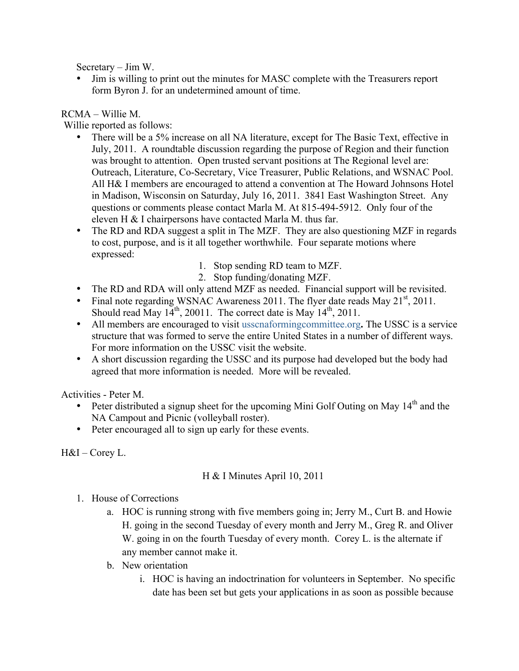Secretary – Jim W.

• Jim is willing to print out the minutes for MASC complete with the Treasurers report form Byron J. for an undetermined amount of time.

## RCMA – Willie M.

Willie reported as follows:

- There will be a 5% increase on all NA literature, except for The Basic Text, effective in July, 2011. A roundtable discussion regarding the purpose of Region and their function was brought to attention. Open trusted servant positions at The Regional level are: Outreach, Literature, Co-Secretary, Vice Treasurer, Public Relations, and WSNAC Pool. All H& I members are encouraged to attend a convention at The Howard Johnsons Hotel in Madison, Wisconsin on Saturday, July 16, 2011. 3841 East Washington Street. Any questions or comments please contact Marla M. At 815-494-5912. Only four of the eleven H & I chairpersons have contacted Marla M. thus far.
- The RD and RDA suggest a split in The MZF. They are also questioning MZF in regards to cost, purpose, and is it all together worthwhile. Four separate motions where expressed:
	- 1. Stop sending RD team to MZF.
	- 2. Stop funding/donating MZF.
- The RD and RDA will only attend MZF as needed. Financial support will be revisited.
- Final note regarding WSNAC Awareness 2011. The flyer date reads May  $21<sup>st</sup>$ , 2011. Should read May  $14^{th}$ , 20011. The correct date is May  $14^{th}$ , 2011.
- All members are encouraged to visit usscnaformingcommittee.org**.** The USSC is a service structure that was formed to serve the entire United States in a number of different ways. For more information on the USSC visit the website.
- A short discussion regarding the USSC and its purpose had developed but the body had agreed that more information is needed. More will be revealed.

Activities - Peter M.

- Peter distributed a signup sheet for the upcoming Mini Golf Outing on May  $14<sup>th</sup>$  and the NA Campout and Picnic (volleyball roster).
- Peter encouraged all to sign up early for these events.

H&I – Corey L.

## H & I Minutes April 10, 2011

- 1. House of Corrections
	- a. HOC is running strong with five members going in; Jerry M., Curt B. and Howie H. going in the second Tuesday of every month and Jerry M., Greg R. and Oliver W. going in on the fourth Tuesday of every month. Corey L. is the alternate if any member cannot make it.
	- b. New orientation
		- i. HOC is having an indoctrination for volunteers in September. No specific date has been set but gets your applications in as soon as possible because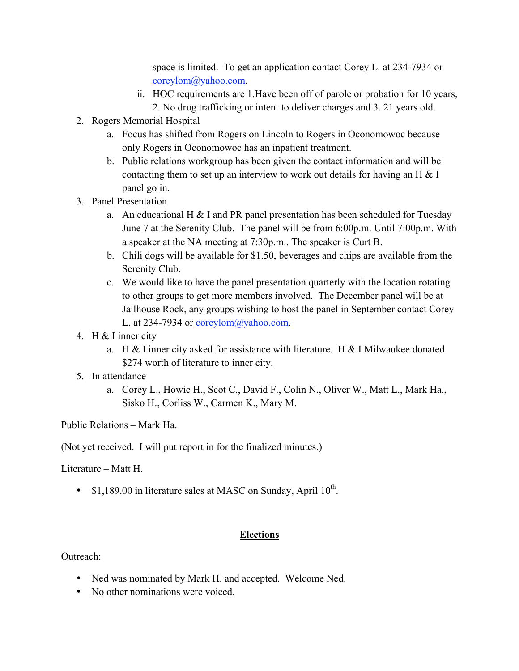space is limited. To get an application contact Corey L. at 234-7934 or coreylom@yahoo.com.

- ii. HOC requirements are 1.Have been off of parole or probation for 10 years, 2. No drug trafficking or intent to deliver charges and 3. 21 years old.
- 2. Rogers Memorial Hospital
	- a. Focus has shifted from Rogers on Lincoln to Rogers in Oconomowoc because only Rogers in Oconomowoc has an inpatient treatment.
	- b. Public relations workgroup has been given the contact information and will be contacting them to set up an interview to work out details for having an H  $\&$  I panel go in.
- 3. Panel Presentation
	- a. An educational H  $\&$  I and PR panel presentation has been scheduled for Tuesday June 7 at the Serenity Club. The panel will be from 6:00p.m. Until 7:00p.m. With a speaker at the NA meeting at 7:30p.m.. The speaker is Curt B.
	- b. Chili dogs will be available for \$1.50, beverages and chips are available from the Serenity Club.
	- c. We would like to have the panel presentation quarterly with the location rotating to other groups to get more members involved. The December panel will be at Jailhouse Rock, any groups wishing to host the panel in September contact Corey L. at 234-7934 or coreylom@yahoo.com.
- 4. H & I inner city
	- a. H & I inner city asked for assistance with literature. H & I Milwaukee donated \$274 worth of literature to inner city.
- 5. In attendance
	- a. Corey L., Howie H., Scot C., David F., Colin N., Oliver W., Matt L., Mark Ha., Sisko H., Corliss W., Carmen K., Mary M.

Public Relations – Mark Ha.

(Not yet received. I will put report in for the finalized minutes.)

Literature – Matt H.

• \$1,189.00 in literature sales at MASC on Sunday, April  $10^{th}$ .

#### **Elections**

Outreach:

- Ned was nominated by Mark H. and accepted. Welcome Ned.
- No other nominations were voiced.